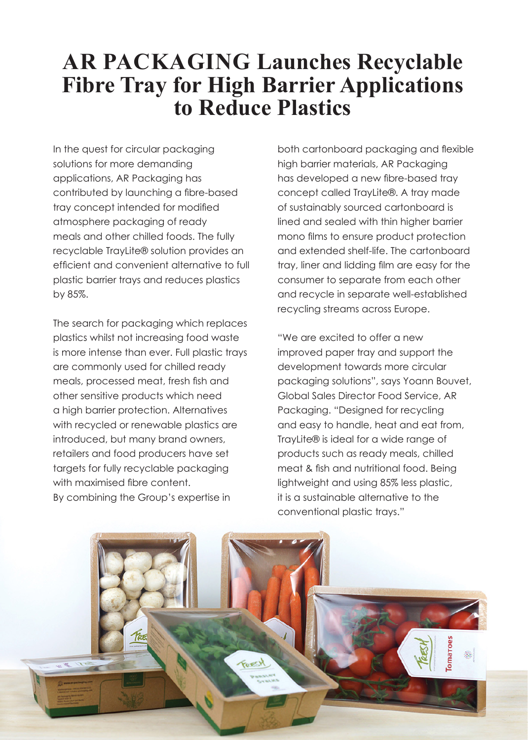## **AR PACKAGING Launches Recyclable Fibre Tray for High Barrier Applications to Reduce Plastics**

In the quest for circular packaging solutions for more demanding applications, AR Packaging has contributed by launching a fibre-based tray concept intended for modified atmosphere packaging of ready meals and other chilled foods. The fully recyclable TrayLite® solution provides an efficient and convenient alternative to full plastic barrier trays and reduces plastics by 85%.

The search for packaging which replaces plastics whilst not increasing food waste is more intense than ever. Full plastic trays are commonly used for chilled ready meals, processed meat, fresh fish and other sensitive products which need a high barrier protection. Alternatives with recycled or renewable plastics are introduced, but many brand owners, retailers and food producers have set targets for fully recyclable packaging with maximised fibre content. By combining the Group's expertise in

both cartonboard packaging and flexible high barrier materials, AR Packaging has developed a new fibre-based tray concept called TrayLite®. A tray made of sustainably sourced cartonboard is lined and sealed with thin higher barrier mono films to ensure product protection and extended shelf-life. The cartonboard tray, liner and lidding film are easy for the consumer to separate from each other and recycle in separate well-established recycling streams across Europe.

"We are excited to offer a new improved paper tray and support the development towards more circular packaging solutions", says Yoann Bouvet, Global Sales Director Food Service, AR Packaging. "Designed for recycling and easy to handle, heat and eat from, TrayLite® is ideal for a wide range of products such as ready meals, chilled meat & fish and nutritional food. Being lightweight and using 85% less plastic, it is a sustainable alternative to the conventional plastic trays."